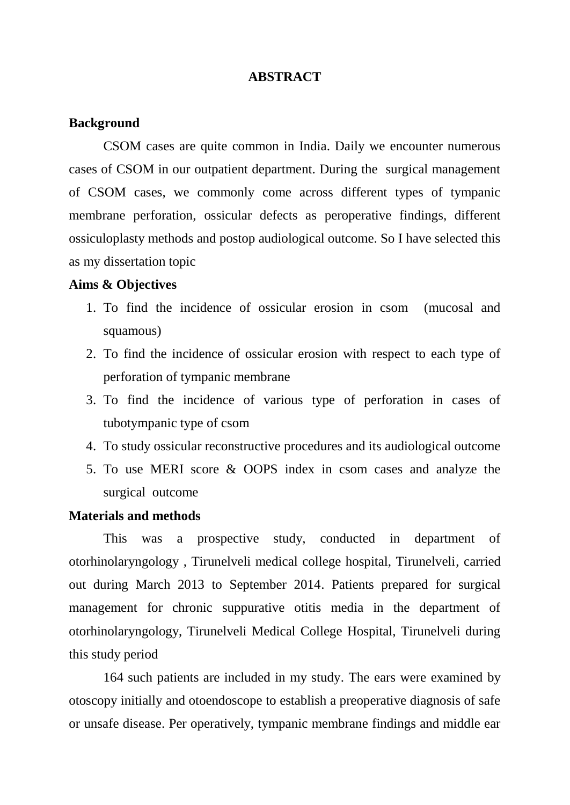### **ABSTRACT**

# **Background**

CSOM cases are quite common in India. Daily we encounter numerous cases of CSOM in our outpatient department. During the surgical management of CSOM cases, we commonly come across different types of tympanic membrane perforation, ossicular defects as peroperative findings, different ossiculoplasty methods and postop audiological outcome. So I have selected this as my dissertation topic

#### **Aims & Objectives**

- 1. To find the incidence of ossicular erosion in csom (mucosal and squamous)
- 2. To find the incidence of ossicular erosion with respect to each type of perforation of tympanic membrane
- 3. To find the incidence of various type of perforation in cases of tubotympanic type of csom
- 4. To study ossicular reconstructive procedures and its audiological outcome
- 5. To use MERI score & OOPS index in csom cases and analyze the surgical outcome

### **Materials and methods**

This was a prospective study, conducted in department of otorhinolaryngology , Tirunelveli medical college hospital, Tirunelveli, carried out during March 2013 to September 2014. Patients prepared for surgical management for chronic suppurative otitis media in the department of otorhinolaryngology, Tirunelveli Medical College Hospital, Tirunelveli during this study period

164 such patients are included in my study. The ears were examined by otoscopy initially and otoendoscope to establish a preoperative diagnosis of safe or unsafe disease. Per operatively, tympanic membrane findings and middle ear